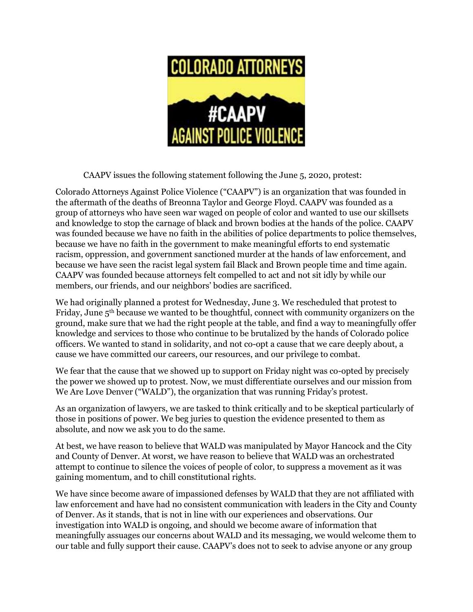

CAAPV issues the following statement following the June 5, 2020, protest:

Colorado Attorneys Against Police Violence ("CAAPV") is an organization that was founded in the aftermath of the deaths of Breonna Taylor and George Floyd. CAAPV was founded as a group of attorneys who have seen war waged on people of color and wanted to use our skillsets and knowledge to stop the carnage of black and brown bodies at the hands of the police. CAAPV was founded because we have no faith in the abilities of police departments to police themselves, because we have no faith in the government to make meaningful efforts to end systematic racism, oppression, and government sanctioned murder at the hands of law enforcement, and because we have seen the racist legal system fail Black and Brown people time and time again. CAAPV was founded because attorneys felt compelled to act and not sit idly by while our members, our friends, and our neighbors' bodies are sacrificed.

We had originally planned a protest for Wednesday, June 3. We rescheduled that protest to Friday, June 5th because we wanted to be thoughtful, connect with community organizers on the ground, make sure that we had the right people at the table, and find a way to meaningfully offer knowledge and services to those who continue to be brutalized by the hands of Colorado police officers. We wanted to stand in solidarity, and not co-opt a cause that we care deeply about, a cause we have committed our careers, our resources, and our privilege to combat.

We fear that the cause that we showed up to support on Friday night was co-opted by precisely the power we showed up to protest. Now, we must differentiate ourselves and our mission from We Are Love Denver ("WALD"), the organization that was running Friday's protest.

As an organization of lawyers, we are tasked to think critically and to be skeptical particularly of those in positions of power. We beg juries to question the evidence presented to them as absolute, and now we ask you to do the same.

At best, we have reason to believe that WALD was manipulated by Mayor Hancock and the City and County of Denver. At worst, we have reason to believe that WALD was an orchestrated attempt to continue to silence the voices of people of color, to suppress a movement as it was gaining momentum, and to chill constitutional rights.

We have since become aware of impassioned defenses by WALD that they are not affiliated with law enforcement and have had no consistent communication with leaders in the City and County of Denver. As it stands, that is not in line with our experiences and observations. Our investigation into WALD is ongoing, and should we become aware of information that meaningfully assuages our concerns about WALD and its messaging, we would welcome them to our table and fully support their cause. CAAPV's does not to seek to advise anyone or any group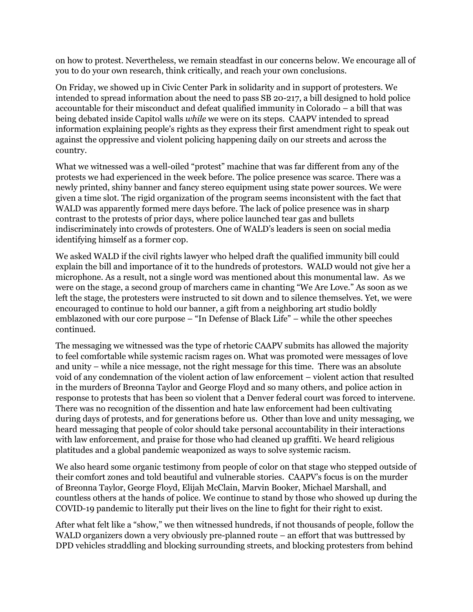on how to protest. Nevertheless, we remain steadfast in our concerns below. We encourage all of you to do your own research, think critically, and reach your own conclusions.

On Friday, we showed up in Civic Center Park in solidarity and in support of protesters. We intended to spread information about the need to pass SB 20-217, a bill designed to hold police accountable for their misconduct and defeat qualified immunity in Colorado – a bill that was being debated inside Capitol walls *while* we were on its steps. CAAPV intended to spread information explaining people's rights as they express their first amendment right to speak out against the oppressive and violent policing happening daily on our streets and across the country.

What we witnessed was a well-oiled "protest" machine that was far different from any of the protests we had experienced in the week before. The police presence was scarce. There was a newly printed, shiny banner and fancy stereo equipment using state power sources. We were given a time slot. The rigid organization of the program seems inconsistent with the fact that WALD was apparently formed mere days before. The lack of police presence was in sharp contrast to the protests of prior days, where police launched tear gas and bullets indiscriminately into crowds of protesters. One of WALD's leaders is seen on social media identifying himself as a former cop.

We asked WALD if the civil rights lawyer who helped draft the qualified immunity bill could explain the bill and importance of it to the hundreds of protestors. WALD would not give her a microphone. As a result, not a single word was mentioned about this monumental law. As we were on the stage, a second group of marchers came in chanting "We Are Love." As soon as we left the stage, the protesters were instructed to sit down and to silence themselves. Yet, we were encouraged to continue to hold our banner, a gift from a neighboring art studio boldly emblazoned with our core purpose – "In Defense of Black Life" – while the other speeches continued.

The messaging we witnessed was the type of rhetoric CAAPV submits has allowed the majority to feel comfortable while systemic racism rages on. What was promoted were messages of love and unity – while a nice message, not the right message for this time. There was an absolute void of any condemnation of the violent action of law enforcement – violent action that resulted in the murders of Breonna Taylor and George Floyd and so many others, and police action in response to protests that has been so violent that a Denver federal court was forced to intervene. There was no recognition of the dissention and hate law enforcement had been cultivating during days of protests, and for generations before us. Other than love and unity messaging, we heard messaging that people of color should take personal accountability in their interactions with law enforcement, and praise for those who had cleaned up graffiti. We heard religious platitudes and a global pandemic weaponized as ways to solve systemic racism.

We also heard some organic testimony from people of color on that stage who stepped outside of their comfort zones and told beautiful and vulnerable stories. CAAPV's focus is on the murder of Breonna Taylor, George Floyd, Elijah McClain, Marvin Booker, Michael Marshall, and countless others at the hands of police. We continue to stand by those who showed up during the COVID-19 pandemic to literally put their lives on the line to fight for their right to exist.

After what felt like a "show," we then witnessed hundreds, if not thousands of people, follow the WALD organizers down a very obviously pre-planned route – an effort that was buttressed by DPD vehicles straddling and blocking surrounding streets, and blocking protesters from behind